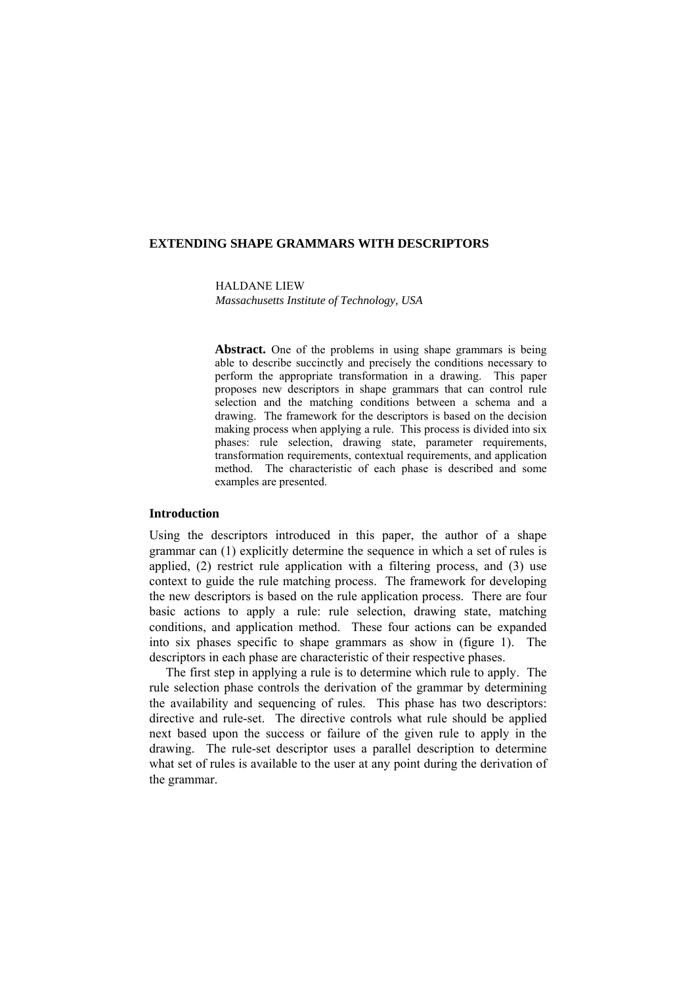# **EXTENDING SHAPE GRAMMARS WITH DESCRIPTORS**

HALDANE LIEW *Massachusetts Institute of Technology, USA* 

**Abstract.** One of the problems in using shape grammars is being able to describe succinctly and precisely the conditions necessary to perform the appropriate transformation in a drawing. This paper proposes new descriptors in shape grammars that can control rule selection and the matching conditions between a schema and a drawing. The framework for the descriptors is based on the decision making process when applying a rule. This process is divided into six phases: rule selection, drawing state, parameter requirements, transformation requirements, contextual requirements, and application method. The characteristic of each phase is described and some examples are presented.

### **Introduction**

Using the descriptors introduced in this paper, the author of a shape grammar can (1) explicitly determine the sequence in which a set of rules is applied, (2) restrict rule application with a filtering process, and (3) use context to guide the rule matching process. The framework for developing the new descriptors is based on the rule application process. There are four basic actions to apply a rule: rule selection, drawing state, matching conditions, and application method. These four actions can be expanded into six phases specific to shape grammars as show in (figure 1). The descriptors in each phase are characteristic of their respective phases.

The first step in applying a rule is to determine which rule to apply. The rule selection phase controls the derivation of the grammar by determining the availability and sequencing of rules. This phase has two descriptors: directive and rule-set. The directive controls what rule should be applied next based upon the success or failure of the given rule to apply in the drawing. The rule-set descriptor uses a parallel description to determine what set of rules is available to the user at any point during the derivation of the grammar.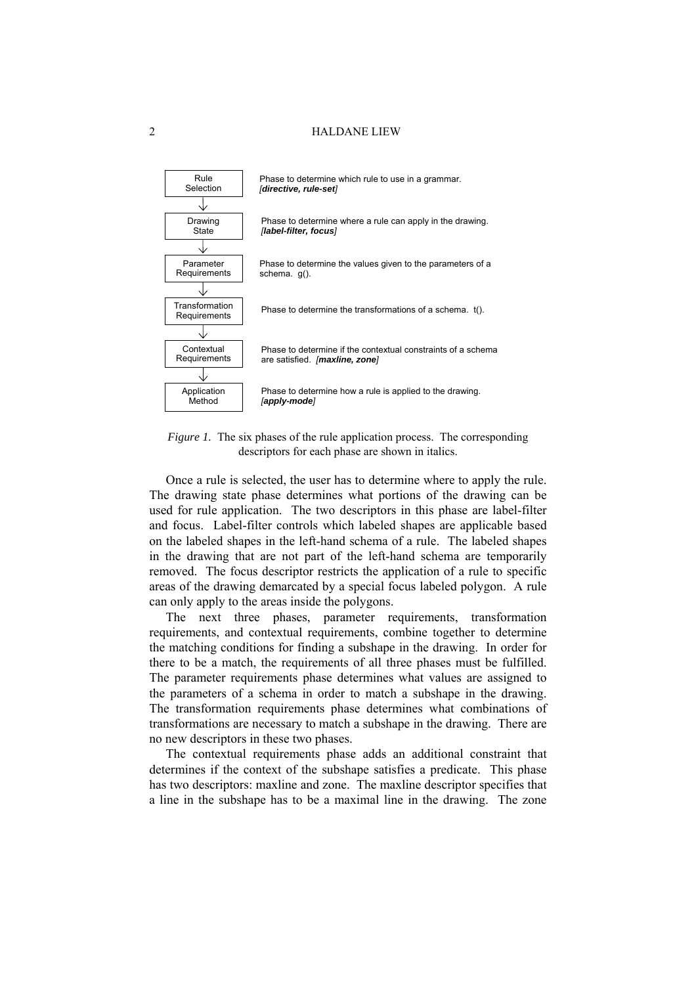

*Figure 1.* The six phases of the rule application process. The corresponding descriptors for each phase are shown in italics.

Once a rule is selected, the user has to determine where to apply the rule. The drawing state phase determines what portions of the drawing can be used for rule application. The two descriptors in this phase are label-filter and focus. Label-filter controls which labeled shapes are applicable based on the labeled shapes in the left-hand schema of a rule. The labeled shapes in the drawing that are not part of the left-hand schema are temporarily removed. The focus descriptor restricts the application of a rule to specific areas of the drawing demarcated by a special focus labeled polygon. A rule can only apply to the areas inside the polygons.

The next three phases, parameter requirements, transformation requirements, and contextual requirements, combine together to determine the matching conditions for finding a subshape in the drawing. In order for there to be a match, the requirements of all three phases must be fulfilled. The parameter requirements phase determines what values are assigned to the parameters of a schema in order to match a subshape in the drawing. The transformation requirements phase determines what combinations of transformations are necessary to match a subshape in the drawing. There are no new descriptors in these two phases.

The contextual requirements phase adds an additional constraint that determines if the context of the subshape satisfies a predicate. This phase has two descriptors: maxline and zone. The maxline descriptor specifies that a line in the subshape has to be a maximal line in the drawing. The zone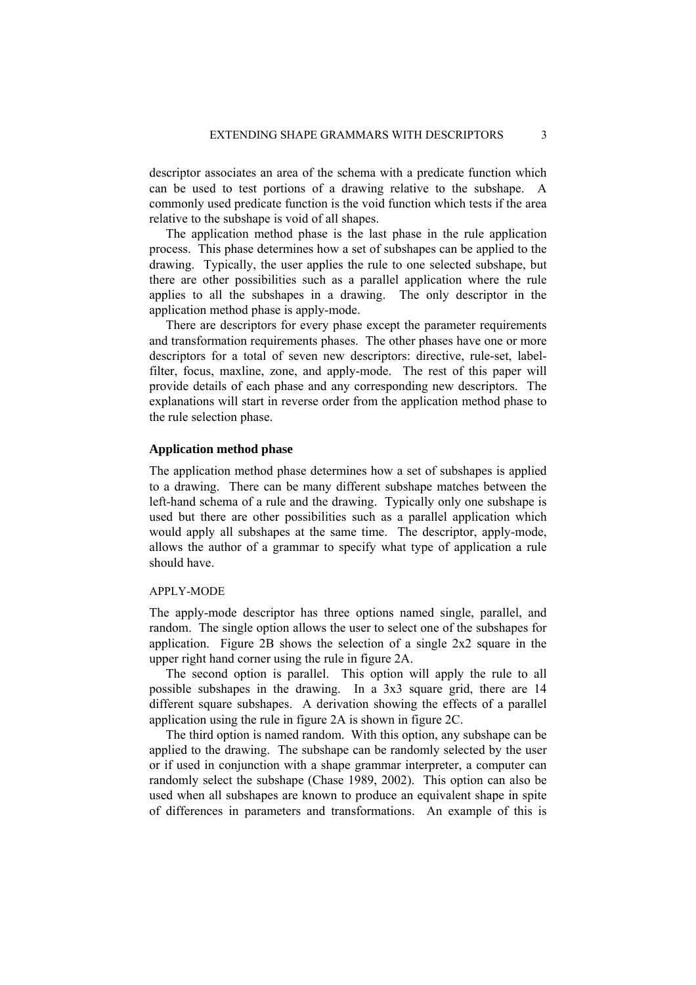descriptor associates an area of the schema with a predicate function which can be used to test portions of a drawing relative to the subshape. A commonly used predicate function is the void function which tests if the area relative to the subshape is void of all shapes.

The application method phase is the last phase in the rule application process. This phase determines how a set of subshapes can be applied to the drawing. Typically, the user applies the rule to one selected subshape, but there are other possibilities such as a parallel application where the rule applies to all the subshapes in a drawing. The only descriptor in the application method phase is apply-mode.

There are descriptors for every phase except the parameter requirements and transformation requirements phases. The other phases have one or more descriptors for a total of seven new descriptors: directive, rule-set, labelfilter, focus, maxline, zone, and apply-mode. The rest of this paper will provide details of each phase and any corresponding new descriptors. The explanations will start in reverse order from the application method phase to the rule selection phase.

# **Application method phase**

The application method phase determines how a set of subshapes is applied to a drawing. There can be many different subshape matches between the left-hand schema of a rule and the drawing. Typically only one subshape is used but there are other possibilities such as a parallel application which would apply all subshapes at the same time. The descriptor, apply-mode, allows the author of a grammar to specify what type of application a rule should have.

#### APPLY-MODE

The apply-mode descriptor has three options named single, parallel, and random. The single option allows the user to select one of the subshapes for application. Figure 2B shows the selection of a single 2x2 square in the upper right hand corner using the rule in figure 2A.

The second option is parallel. This option will apply the rule to all possible subshapes in the drawing. In a 3x3 square grid, there are 14 different square subshapes. A derivation showing the effects of a parallel application using the rule in figure 2A is shown in figure 2C.

The third option is named random. With this option, any subshape can be applied to the drawing. The subshape can be randomly selected by the user or if used in conjunction with a shape grammar interpreter, a computer can randomly select the subshape (Chase 1989, 2002). This option can also be used when all subshapes are known to produce an equivalent shape in spite of differences in parameters and transformations. An example of this is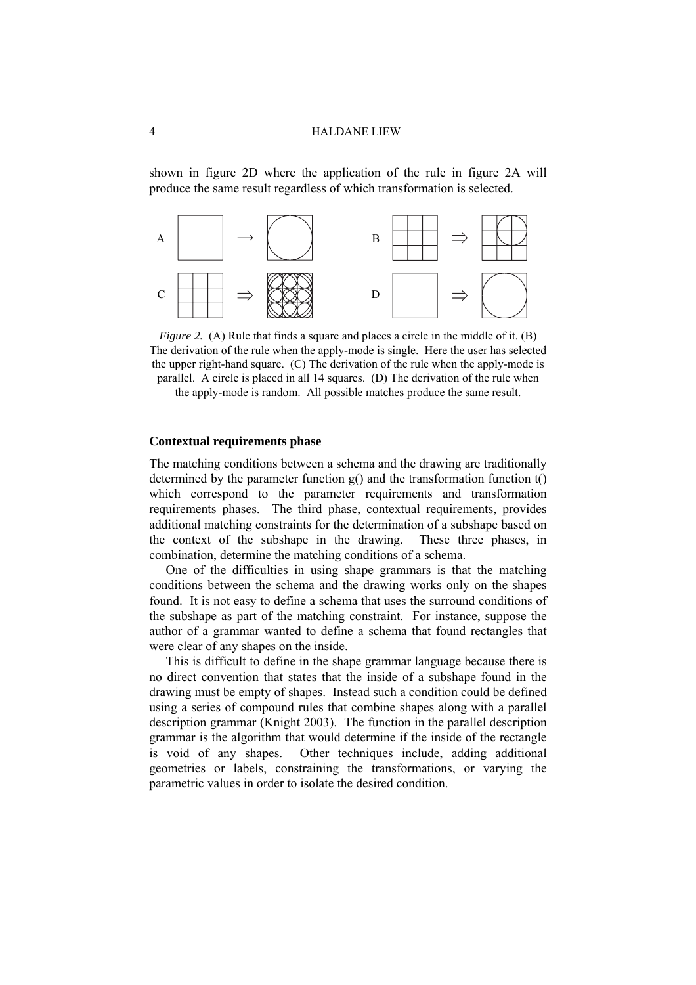shown in figure 2D where the application of the rule in figure 2A will produce the same result regardless of which transformation is selected.



*Figure 2.* (A) Rule that finds a square and places a circle in the middle of it. (B) The derivation of the rule when the apply-mode is single. Here the user has selected the upper right-hand square. (C) The derivation of the rule when the apply-mode is parallel. A circle is placed in all 14 squares. (D) The derivation of the rule when

the apply-mode is random. All possible matches produce the same result.

# **Contextual requirements phase**

The matching conditions between a schema and the drawing are traditionally determined by the parameter function g() and the transformation function t() which correspond to the parameter requirements and transformation requirements phases. The third phase, contextual requirements, provides additional matching constraints for the determination of a subshape based on the context of the subshape in the drawing. These three phases, in combination, determine the matching conditions of a schema.

One of the difficulties in using shape grammars is that the matching conditions between the schema and the drawing works only on the shapes found. It is not easy to define a schema that uses the surround conditions of the subshape as part of the matching constraint. For instance, suppose the author of a grammar wanted to define a schema that found rectangles that were clear of any shapes on the inside.

This is difficult to define in the shape grammar language because there is no direct convention that states that the inside of a subshape found in the drawing must be empty of shapes. Instead such a condition could be defined using a series of compound rules that combine shapes along with a parallel description grammar (Knight 2003). The function in the parallel description grammar is the algorithm that would determine if the inside of the rectangle is void of any shapes. Other techniques include, adding additional geometries or labels, constraining the transformations, or varying the parametric values in order to isolate the desired condition.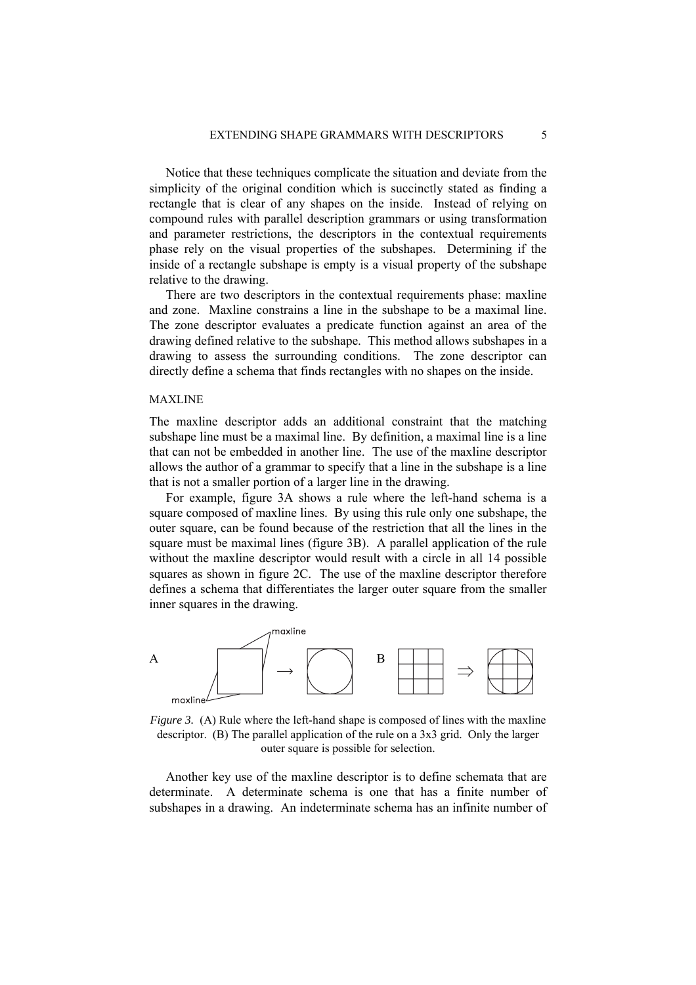Notice that these techniques complicate the situation and deviate from the simplicity of the original condition which is succinctly stated as finding a rectangle that is clear of any shapes on the inside. Instead of relying on compound rules with parallel description grammars or using transformation and parameter restrictions, the descriptors in the contextual requirements phase rely on the visual properties of the subshapes. Determining if the inside of a rectangle subshape is empty is a visual property of the subshape relative to the drawing.

There are two descriptors in the contextual requirements phase: maxline and zone. Maxline constrains a line in the subshape to be a maximal line. The zone descriptor evaluates a predicate function against an area of the drawing defined relative to the subshape. This method allows subshapes in a drawing to assess the surrounding conditions. The zone descriptor can directly define a schema that finds rectangles with no shapes on the inside.

### MAXLINE

The maxline descriptor adds an additional constraint that the matching subshape line must be a maximal line. By definition, a maximal line is a line that can not be embedded in another line. The use of the maxline descriptor allows the author of a grammar to specify that a line in the subshape is a line that is not a smaller portion of a larger line in the drawing.

For example, figure 3A shows a rule where the left-hand schema is a square composed of maxline lines. By using this rule only one subshape, the outer square, can be found because of the restriction that all the lines in the square must be maximal lines (figure 3B). A parallel application of the rule without the maxline descriptor would result with a circle in all 14 possible squares as shown in figure 2C. The use of the maxline descriptor therefore defines a schema that differentiates the larger outer square from the smaller inner squares in the drawing.



*Figure 3.* (A) Rule where the left-hand shape is composed of lines with the maxline descriptor. (B) The parallel application of the rule on a 3x3 grid. Only the larger outer square is possible for selection.

Another key use of the maxline descriptor is to define schemata that are determinate. A determinate schema is one that has a finite number of subshapes in a drawing. An indeterminate schema has an infinite number of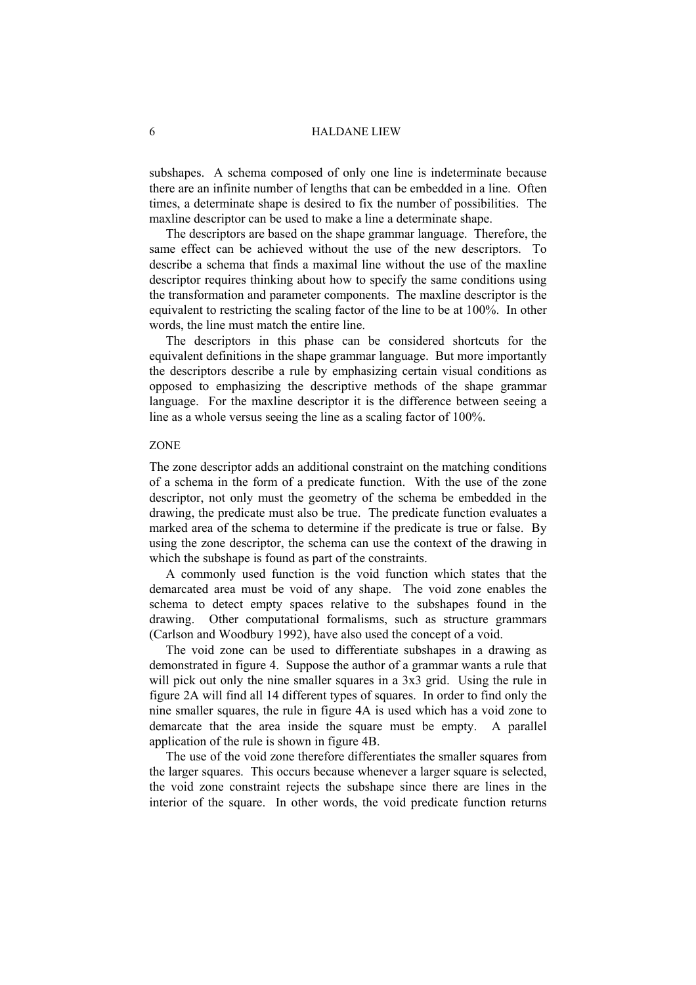subshapes. A schema composed of only one line is indeterminate because there are an infinite number of lengths that can be embedded in a line. Often times, a determinate shape is desired to fix the number of possibilities. The maxline descriptor can be used to make a line a determinate shape.

The descriptors are based on the shape grammar language. Therefore, the same effect can be achieved without the use of the new descriptors. To describe a schema that finds a maximal line without the use of the maxline descriptor requires thinking about how to specify the same conditions using the transformation and parameter components. The maxline descriptor is the equivalent to restricting the scaling factor of the line to be at 100%. In other words, the line must match the entire line.

The descriptors in this phase can be considered shortcuts for the equivalent definitions in the shape grammar language. But more importantly the descriptors describe a rule by emphasizing certain visual conditions as opposed to emphasizing the descriptive methods of the shape grammar language. For the maxline descriptor it is the difference between seeing a line as a whole versus seeing the line as a scaling factor of 100%.

### ZONE

The zone descriptor adds an additional constraint on the matching conditions of a schema in the form of a predicate function. With the use of the zone descriptor, not only must the geometry of the schema be embedded in the drawing, the predicate must also be true. The predicate function evaluates a marked area of the schema to determine if the predicate is true or false. By using the zone descriptor, the schema can use the context of the drawing in which the subshape is found as part of the constraints.

A commonly used function is the void function which states that the demarcated area must be void of any shape. The void zone enables the schema to detect empty spaces relative to the subshapes found in the drawing. Other computational formalisms, such as structure grammars (Carlson and Woodbury 1992), have also used the concept of a void.

The void zone can be used to differentiate subshapes in a drawing as demonstrated in figure 4. Suppose the author of a grammar wants a rule that will pick out only the nine smaller squares in a 3x3 grid. Using the rule in figure 2A will find all 14 different types of squares. In order to find only the nine smaller squares, the rule in figure 4A is used which has a void zone to demarcate that the area inside the square must be empty. A parallel application of the rule is shown in figure 4B.

The use of the void zone therefore differentiates the smaller squares from the larger squares. This occurs because whenever a larger square is selected, the void zone constraint rejects the subshape since there are lines in the interior of the square. In other words, the void predicate function returns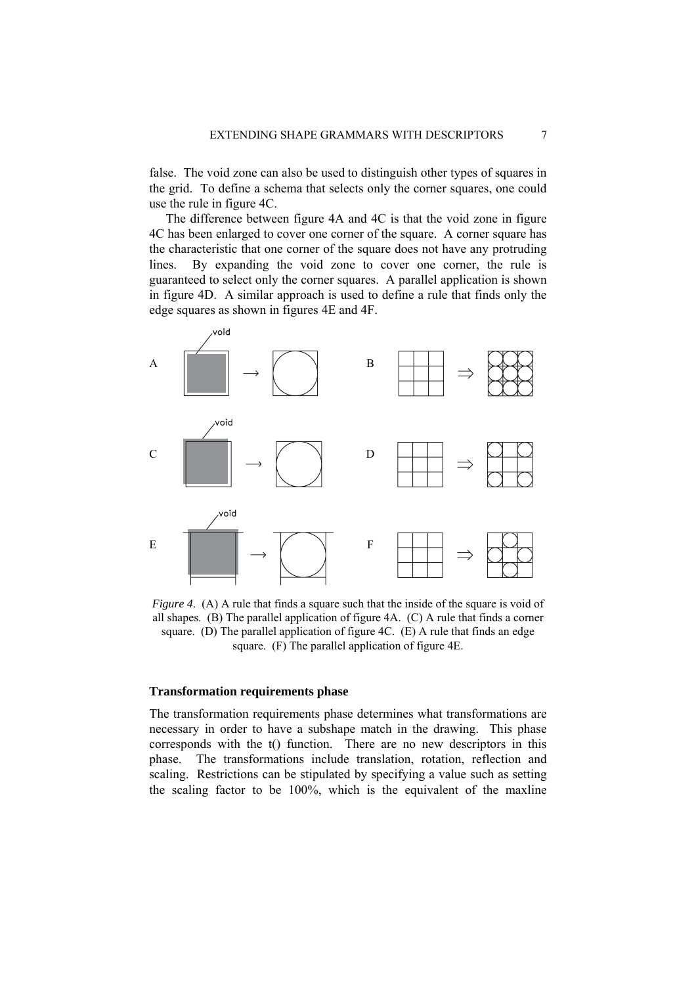false. The void zone can also be used to distinguish other types of squares in the grid. To define a schema that selects only the corner squares, one could use the rule in figure 4C.

The difference between figure 4A and 4C is that the void zone in figure 4C has been enlarged to cover one corner of the square. A corner square has the characteristic that one corner of the square does not have any protruding lines. By expanding the void zone to cover one corner, the rule is guaranteed to select only the corner squares. A parallel application is shown in figure 4D. A similar approach is used to define a rule that finds only the edge squares as shown in figures 4E and 4F.



*Figure 4.* (A) A rule that finds a square such that the inside of the square is void of all shapes. (B) The parallel application of figure 4A. (C) A rule that finds a corner square. (D) The parallel application of figure 4C. (E) A rule that finds an edge square. (F) The parallel application of figure 4E.

### **Transformation requirements phase**

The transformation requirements phase determines what transformations are necessary in order to have a subshape match in the drawing. This phase corresponds with the t() function. There are no new descriptors in this phase. The transformations include translation, rotation, reflection and scaling. Restrictions can be stipulated by specifying a value such as setting the scaling factor to be 100%, which is the equivalent of the maxline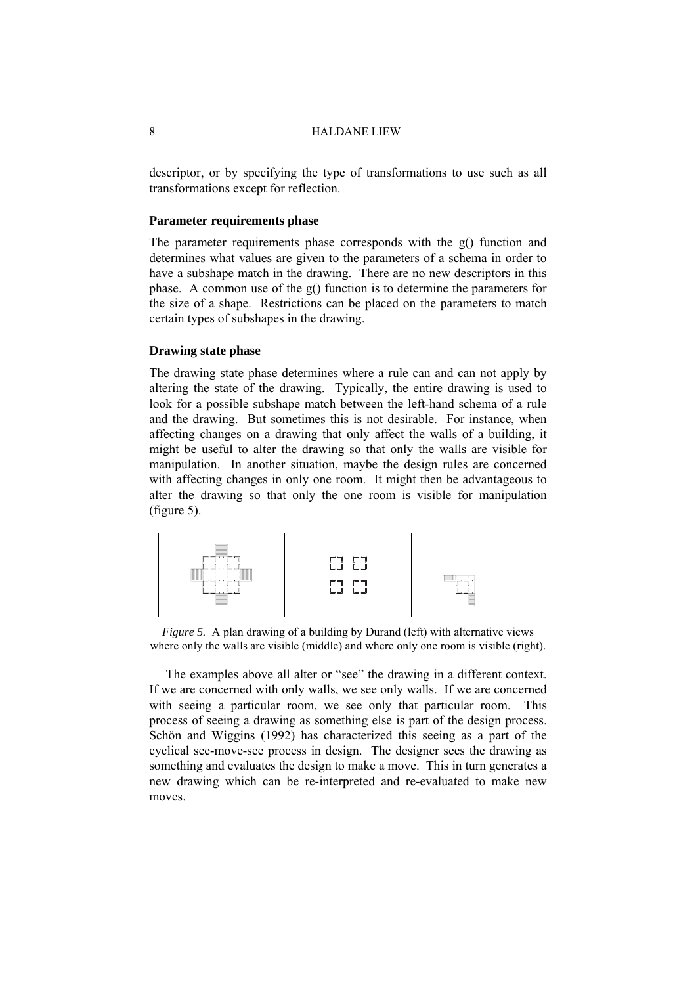descriptor, or by specifying the type of transformations to use such as all transformations except for reflection.

## **Parameter requirements phase**

The parameter requirements phase corresponds with the g() function and determines what values are given to the parameters of a schema in order to have a subshape match in the drawing. There are no new descriptors in this phase. A common use of the g() function is to determine the parameters for the size of a shape. Restrictions can be placed on the parameters to match certain types of subshapes in the drawing.

## **Drawing state phase**

The drawing state phase determines where a rule can and can not apply by altering the state of the drawing. Typically, the entire drawing is used to look for a possible subshape match between the left-hand schema of a rule and the drawing. But sometimes this is not desirable. For instance, when affecting changes on a drawing that only affect the walls of a building, it might be useful to alter the drawing so that only the walls are visible for manipulation. In another situation, maybe the design rules are concerned with affecting changes in only one room. It might then be advantageous to alter the drawing so that only the one room is visible for manipulation (figure 5).



*Figure 5.* A plan drawing of a building by Durand (left) with alternative views where only the walls are visible (middle) and where only one room is visible (right).

The examples above all alter or "see" the drawing in a different context. If we are concerned with only walls, we see only walls. If we are concerned with seeing a particular room, we see only that particular room. This process of seeing a drawing as something else is part of the design process. Schön and Wiggins (1992) has characterized this seeing as a part of the cyclical see-move-see process in design. The designer sees the drawing as something and evaluates the design to make a move. This in turn generates a new drawing which can be re-interpreted and re-evaluated to make new moves.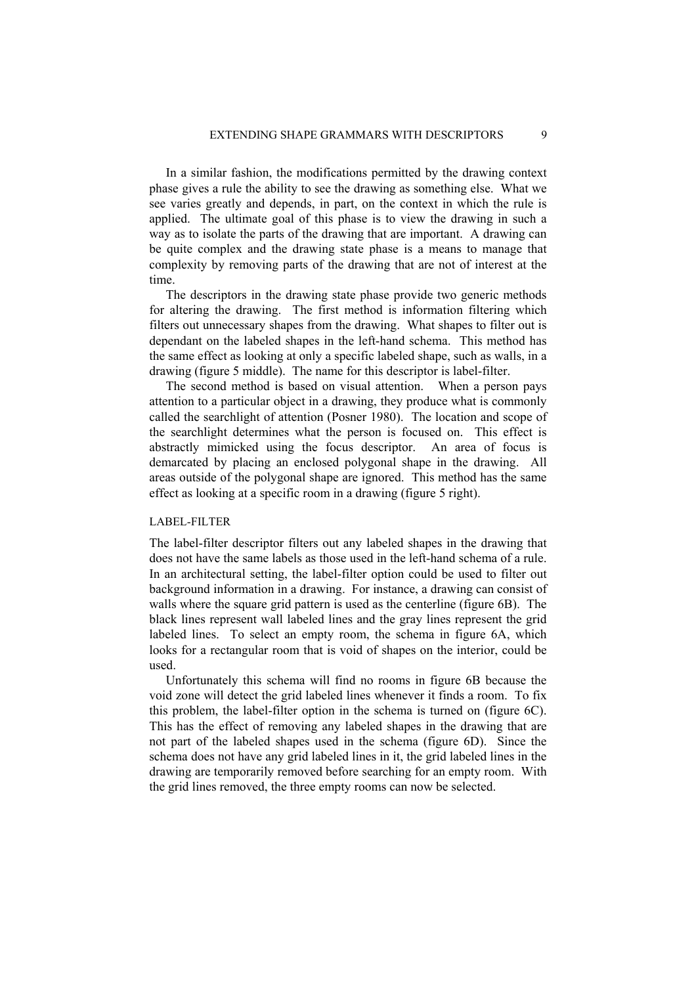In a similar fashion, the modifications permitted by the drawing context phase gives a rule the ability to see the drawing as something else. What we see varies greatly and depends, in part, on the context in which the rule is applied. The ultimate goal of this phase is to view the drawing in such a way as to isolate the parts of the drawing that are important. A drawing can be quite complex and the drawing state phase is a means to manage that complexity by removing parts of the drawing that are not of interest at the time.

The descriptors in the drawing state phase provide two generic methods for altering the drawing. The first method is information filtering which filters out unnecessary shapes from the drawing. What shapes to filter out is dependant on the labeled shapes in the left-hand schema. This method has the same effect as looking at only a specific labeled shape, such as walls, in a drawing (figure 5 middle). The name for this descriptor is label-filter.

The second method is based on visual attention. When a person pays attention to a particular object in a drawing, they produce what is commonly called the searchlight of attention (Posner 1980). The location and scope of the searchlight determines what the person is focused on. This effect is abstractly mimicked using the focus descriptor. An area of focus is demarcated by placing an enclosed polygonal shape in the drawing. All areas outside of the polygonal shape are ignored. This method has the same effect as looking at a specific room in a drawing (figure 5 right).

# LABEL-FILTER

The label-filter descriptor filters out any labeled shapes in the drawing that does not have the same labels as those used in the left-hand schema of a rule. In an architectural setting, the label-filter option could be used to filter out background information in a drawing. For instance, a drawing can consist of walls where the square grid pattern is used as the centerline (figure 6B). The black lines represent wall labeled lines and the gray lines represent the grid labeled lines. To select an empty room, the schema in figure 6A, which looks for a rectangular room that is void of shapes on the interior, could be used.

Unfortunately this schema will find no rooms in figure 6B because the void zone will detect the grid labeled lines whenever it finds a room. To fix this problem, the label-filter option in the schema is turned on (figure 6C). This has the effect of removing any labeled shapes in the drawing that are not part of the labeled shapes used in the schema (figure 6D). Since the schema does not have any grid labeled lines in it, the grid labeled lines in the drawing are temporarily removed before searching for an empty room. With the grid lines removed, the three empty rooms can now be selected.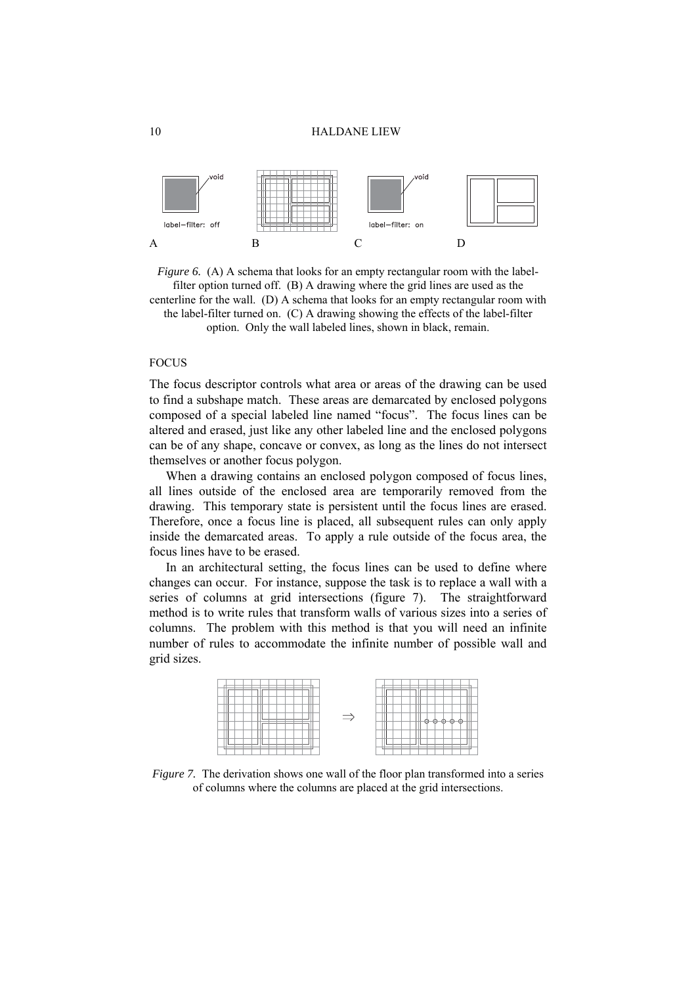

*Figure 6.* (A) A schema that looks for an empty rectangular room with the labelfilter option turned off. (B) A drawing where the grid lines are used as the centerline for the wall. (D) A schema that looks for an empty rectangular room with the label-filter turned on. (C) A drawing showing the effects of the label-filter option. Only the wall labeled lines, shown in black, remain.

### FOCUS

The focus descriptor controls what area or areas of the drawing can be used to find a subshape match. These areas are demarcated by enclosed polygons composed of a special labeled line named "focus". The focus lines can be altered and erased, just like any other labeled line and the enclosed polygons can be of any shape, concave or convex, as long as the lines do not intersect themselves or another focus polygon.

When a drawing contains an enclosed polygon composed of focus lines, all lines outside of the enclosed area are temporarily removed from the drawing. This temporary state is persistent until the focus lines are erased. Therefore, once a focus line is placed, all subsequent rules can only apply inside the demarcated areas. To apply a rule outside of the focus area, the focus lines have to be erased.

In an architectural setting, the focus lines can be used to define where changes can occur. For instance, suppose the task is to replace a wall with a series of columns at grid intersections (figure 7). The straightforward method is to write rules that transform walls of various sizes into a series of columns. The problem with this method is that you will need an infinite number of rules to accommodate the infinite number of possible wall and grid sizes.



*Figure 7.* The derivation shows one wall of the floor plan transformed into a series of columns where the columns are placed at the grid intersections.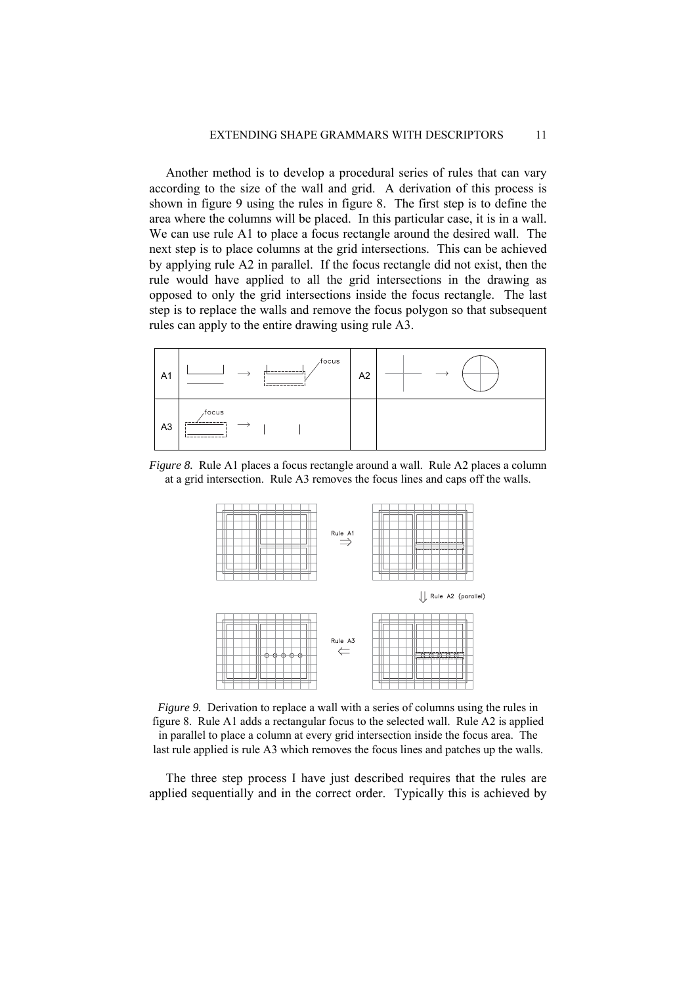Another method is to develop a procedural series of rules that can vary according to the size of the wall and grid. A derivation of this process is shown in figure 9 using the rules in figure 8. The first step is to define the area where the columns will be placed. In this particular case, it is in a wall. We can use rule A1 to place a focus rectangle around the desired wall. The next step is to place columns at the grid intersections. This can be achieved by applying rule A2 in parallel. If the focus rectangle did not exist, then the rule would have applied to all the grid intersections in the drawing as opposed to only the grid intersections inside the focus rectangle. The last step is to replace the walls and remove the focus polygon so that subsequent rules can apply to the entire drawing using rule A3.



*Figure 8.* Rule A1 places a focus rectangle around a wall. Rule A2 places a column at a grid intersection. Rule A3 removes the focus lines and caps off the walls.



*Figure 9.* Derivation to replace a wall with a series of columns using the rules in figure 8. Rule A1 adds a rectangular focus to the selected wall. Rule A2 is applied in parallel to place a column at every grid intersection inside the focus area. The last rule applied is rule A3 which removes the focus lines and patches up the walls.

The three step process I have just described requires that the rules are applied sequentially and in the correct order. Typically this is achieved by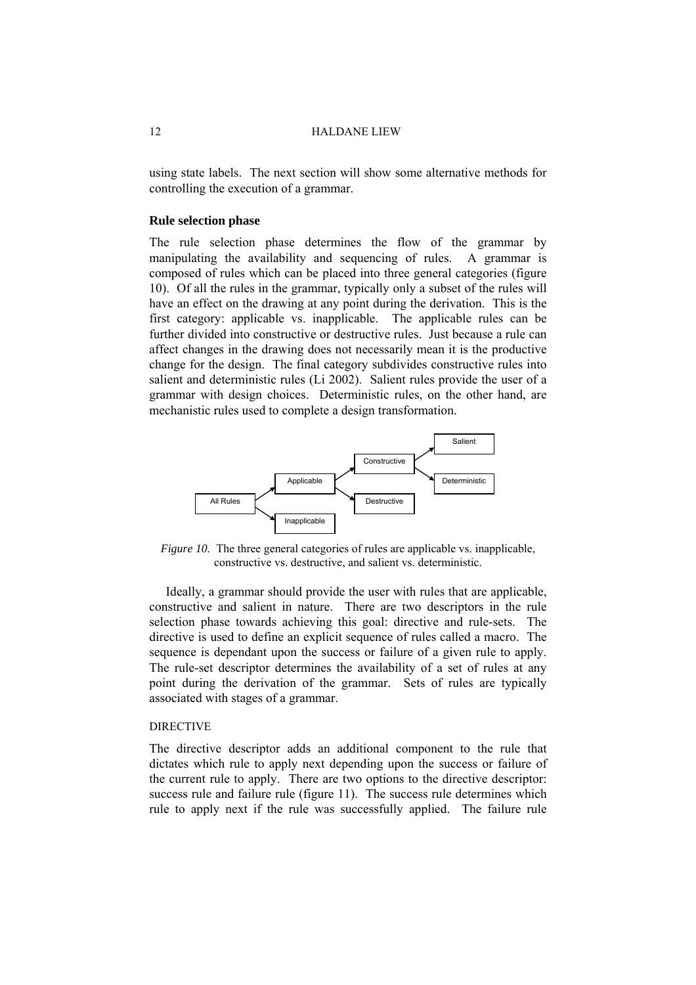using state labels. The next section will show some alternative methods for controlling the execution of a grammar.

## **Rule selection phase**

The rule selection phase determines the flow of the grammar by manipulating the availability and sequencing of rules. A grammar is composed of rules which can be placed into three general categories (figure 10). Of all the rules in the grammar, typically only a subset of the rules will have an effect on the drawing at any point during the derivation. This is the first category: applicable vs. inapplicable. The applicable rules can be further divided into constructive or destructive rules. Just because a rule can affect changes in the drawing does not necessarily mean it is the productive change for the design. The final category subdivides constructive rules into salient and deterministic rules (Li 2002). Salient rules provide the user of a grammar with design choices. Deterministic rules, on the other hand, are mechanistic rules used to complete a design transformation.



*Figure 10.* The three general categories of rules are applicable vs. inapplicable, constructive vs. destructive, and salient vs. deterministic.

Ideally, a grammar should provide the user with rules that are applicable, constructive and salient in nature. There are two descriptors in the rule selection phase towards achieving this goal: directive and rule-sets. The directive is used to define an explicit sequence of rules called a macro. The sequence is dependant upon the success or failure of a given rule to apply. The rule-set descriptor determines the availability of a set of rules at any point during the derivation of the grammar. Sets of rules are typically associated with stages of a grammar.

# **DIRECTIVE**

The directive descriptor adds an additional component to the rule that dictates which rule to apply next depending upon the success or failure of the current rule to apply. There are two options to the directive descriptor: success rule and failure rule (figure 11). The success rule determines which rule to apply next if the rule was successfully applied. The failure rule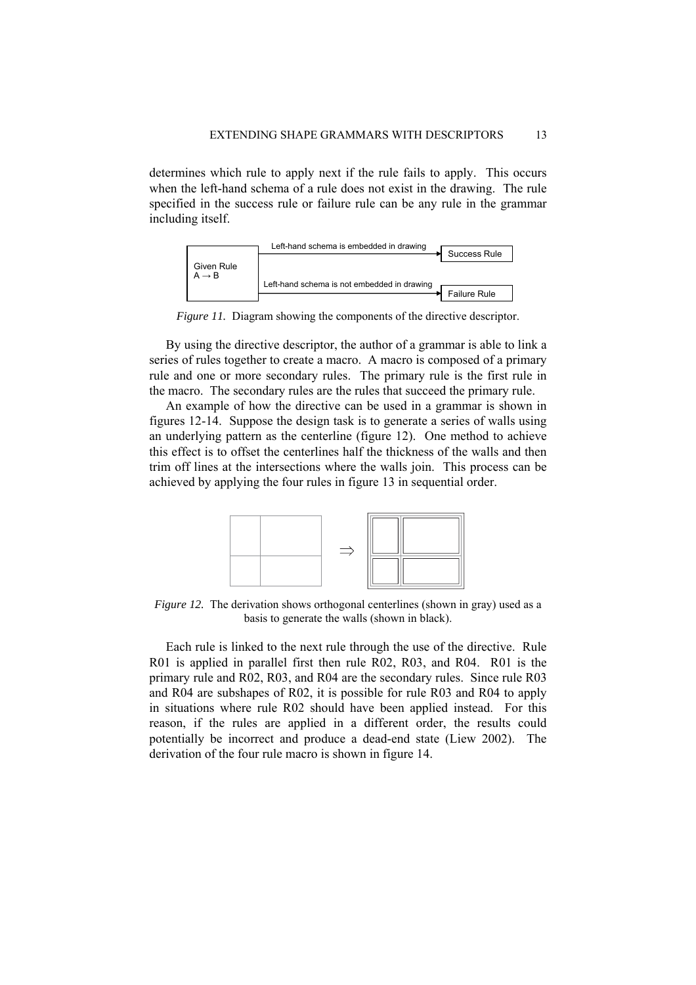determines which rule to apply next if the rule fails to apply. This occurs when the left-hand schema of a rule does not exist in the drawing. The rule specified in the success rule or failure rule can be any rule in the grammar including itself.



*Figure 11.* Diagram showing the components of the directive descriptor.

By using the directive descriptor, the author of a grammar is able to link a series of rules together to create a macro. A macro is composed of a primary rule and one or more secondary rules. The primary rule is the first rule in the macro. The secondary rules are the rules that succeed the primary rule.

An example of how the directive can be used in a grammar is shown in figures 12-14. Suppose the design task is to generate a series of walls using an underlying pattern as the centerline (figure 12). One method to achieve this effect is to offset the centerlines half the thickness of the walls and then trim off lines at the intersections where the walls join. This process can be achieved by applying the four rules in figure 13 in sequential order.



*Figure 12.* The derivation shows orthogonal centerlines (shown in gray) used as a basis to generate the walls (shown in black).

Each rule is linked to the next rule through the use of the directive. Rule R01 is applied in parallel first then rule R02, R03, and R04. R01 is the primary rule and R02, R03, and R04 are the secondary rules. Since rule R03 and R04 are subshapes of R02, it is possible for rule R03 and R04 to apply in situations where rule R02 should have been applied instead. For this reason, if the rules are applied in a different order, the results could potentially be incorrect and produce a dead-end state (Liew 2002). The derivation of the four rule macro is shown in figure 14.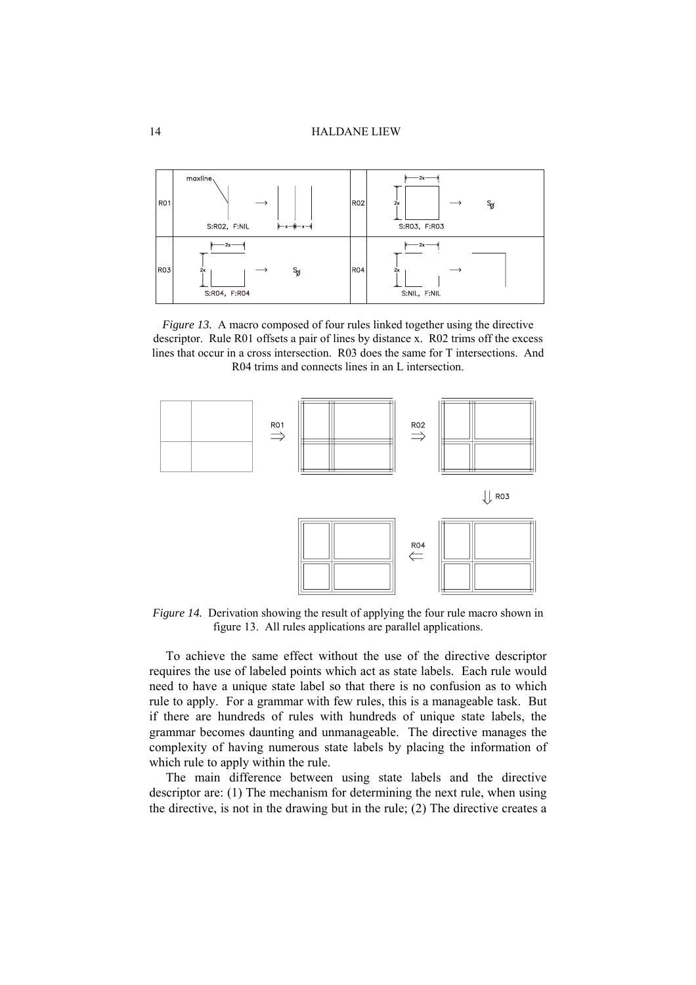

*Figure 13.* A macro composed of four rules linked together using the directive descriptor. Rule R01 offsets a pair of lines by distance x. R02 trims off the excess lines that occur in a cross intersection. R03 does the same for T intersections. And R04 trims and connects lines in an L intersection.



*Figure 14.* Derivation showing the result of applying the four rule macro shown in figure 13. All rules applications are parallel applications.

To achieve the same effect without the use of the directive descriptor requires the use of labeled points which act as state labels. Each rule would need to have a unique state label so that there is no confusion as to which rule to apply. For a grammar with few rules, this is a manageable task. But if there are hundreds of rules with hundreds of unique state labels, the grammar becomes daunting and unmanageable. The directive manages the complexity of having numerous state labels by placing the information of which rule to apply within the rule.

The main difference between using state labels and the directive descriptor are: (1) The mechanism for determining the next rule, when using the directive, is not in the drawing but in the rule; (2) The directive creates a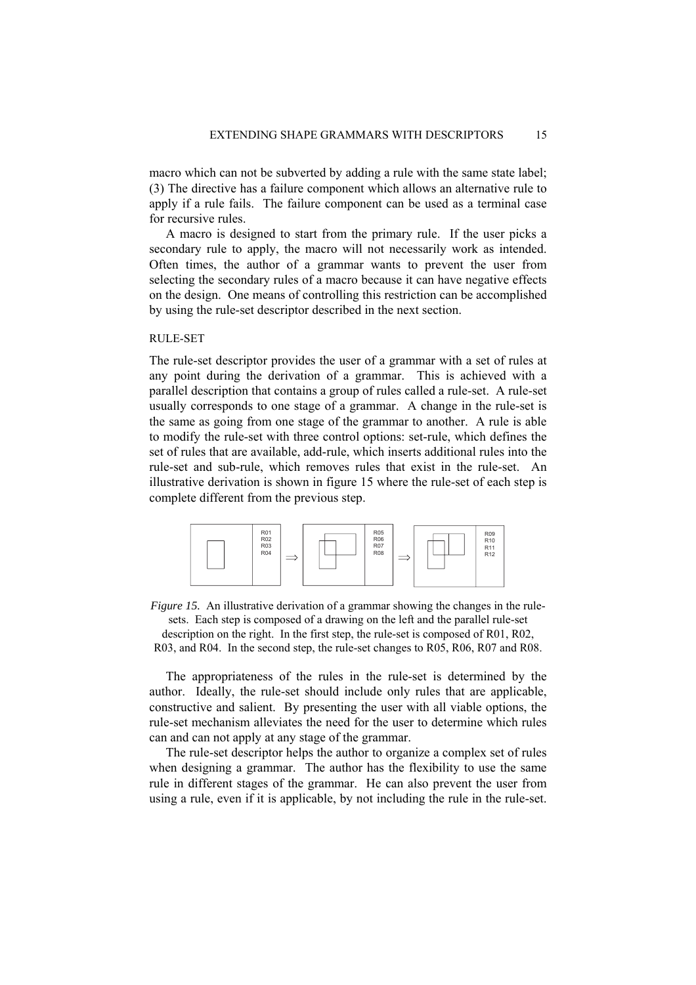macro which can not be subverted by adding a rule with the same state label; (3) The directive has a failure component which allows an alternative rule to apply if a rule fails. The failure component can be used as a terminal case for recursive rules.

A macro is designed to start from the primary rule. If the user picks a secondary rule to apply, the macro will not necessarily work as intended. Often times, the author of a grammar wants to prevent the user from selecting the secondary rules of a macro because it can have negative effects on the design. One means of controlling this restriction can be accomplished by using the rule-set descriptor described in the next section.

RULE-SET

The rule-set descriptor provides the user of a grammar with a set of rules at any point during the derivation of a grammar. This is achieved with a parallel description that contains a group of rules called a rule-set. A rule-set usually corresponds to one stage of a grammar. A change in the rule-set is the same as going from one stage of the grammar to another. A rule is able to modify the rule-set with three control options: set-rule, which defines the set of rules that are available, add-rule, which inserts additional rules into the rule-set and sub-rule, which removes rules that exist in the rule-set. An illustrative derivation is shown in figure 15 where the rule-set of each step is complete different from the previous step.



*Figure 15.* An illustrative derivation of a grammar showing the changes in the rulesets. Each step is composed of a drawing on the left and the parallel rule-set description on the right. In the first step, the rule-set is composed of R01, R02, R03, and R04. In the second step, the rule-set changes to R05, R06, R07 and R08.

The appropriateness of the rules in the rule-set is determined by the author. Ideally, the rule-set should include only rules that are applicable, constructive and salient. By presenting the user with all viable options, the rule-set mechanism alleviates the need for the user to determine which rules can and can not apply at any stage of the grammar.

The rule-set descriptor helps the author to organize a complex set of rules when designing a grammar. The author has the flexibility to use the same rule in different stages of the grammar. He can also prevent the user from using a rule, even if it is applicable, by not including the rule in the rule-set.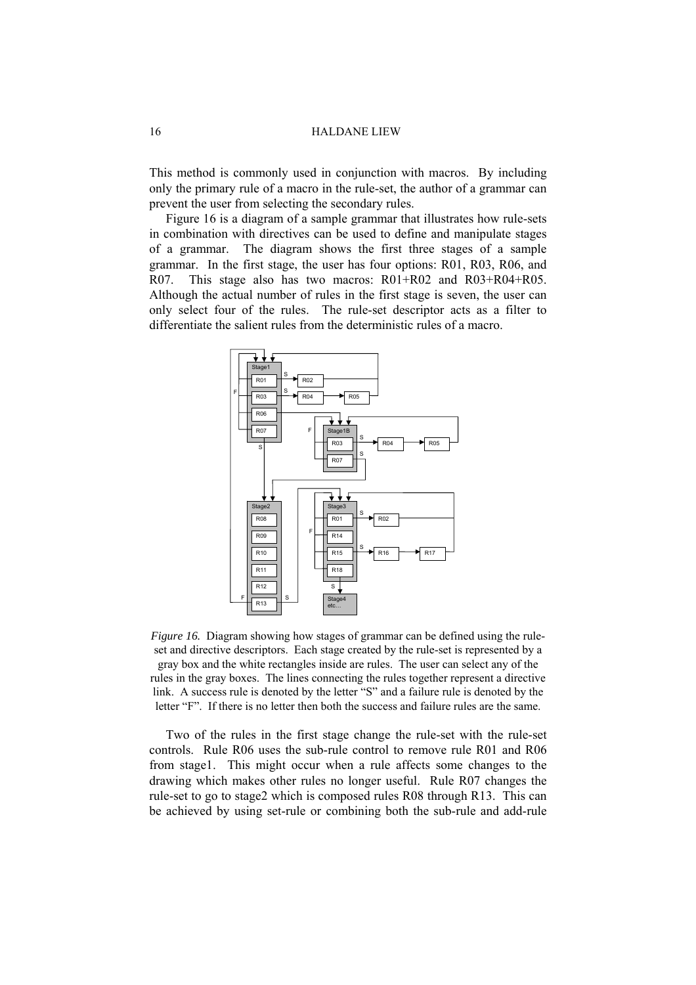This method is commonly used in conjunction with macros. By including only the primary rule of a macro in the rule-set, the author of a grammar can prevent the user from selecting the secondary rules.

Figure 16 is a diagram of a sample grammar that illustrates how rule-sets in combination with directives can be used to define and manipulate stages of a grammar. The diagram shows the first three stages of a sample grammar. In the first stage, the user has four options: R01, R03, R06, and R07. This stage also has two macros: R01+R02 and R03+R04+R05. Although the actual number of rules in the first stage is seven, the user can only select four of the rules. The rule-set descriptor acts as a filter to differentiate the salient rules from the deterministic rules of a macro.



*Figure 16.* Diagram showing how stages of grammar can be defined using the ruleset and directive descriptors. Each stage created by the rule-set is represented by a gray box and the white rectangles inside are rules. The user can select any of the rules in the gray boxes. The lines connecting the rules together represent a directive link. A success rule is denoted by the letter "S" and a failure rule is denoted by the letter "F". If there is no letter then both the success and failure rules are the same.

Two of the rules in the first stage change the rule-set with the rule-set controls. Rule R06 uses the sub-rule control to remove rule R01 and R06 from stage1. This might occur when a rule affects some changes to the drawing which makes other rules no longer useful. Rule R07 changes the rule-set to go to stage2 which is composed rules R08 through R13. This can be achieved by using set-rule or combining both the sub-rule and add-rule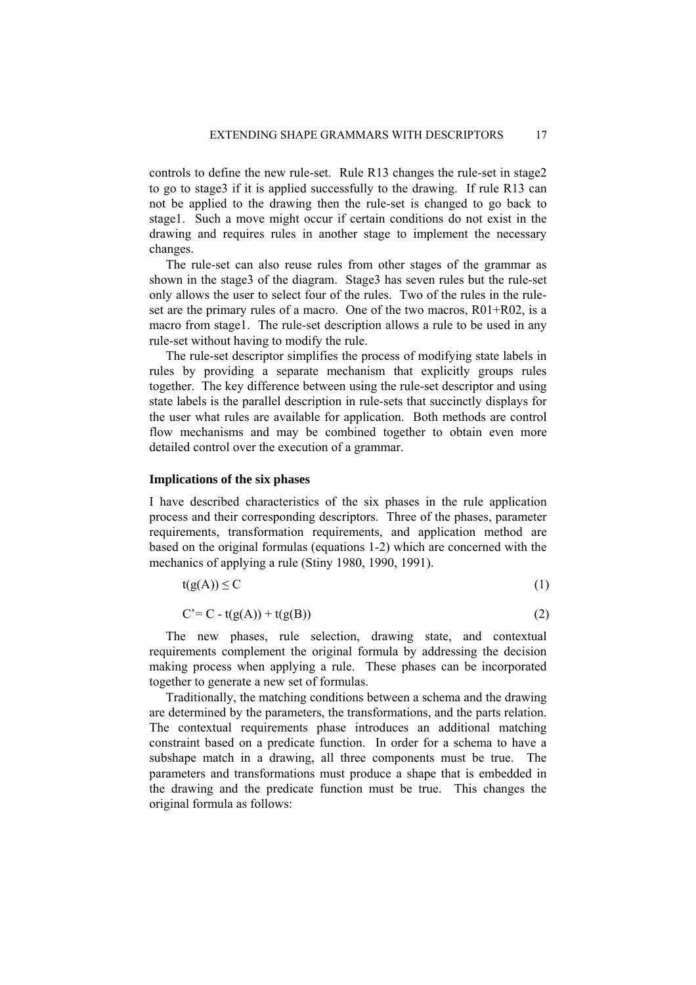controls to define the new rule-set. Rule R13 changes the rule-set in stage2 to go to stage3 if it is applied successfully to the drawing. If rule R13 can not be applied to the drawing then the rule-set is changed to go back to stage1. Such a move might occur if certain conditions do not exist in the drawing and requires rules in another stage to implement the necessary changes.

The rule-set can also reuse rules from other stages of the grammar as sho wn in the stage3 of the diagram. Stage3 has seven rules but the rule-set only allows the user to select four of the rules. Two of the rules in the ruleset are the primary rules of a macro. One of the two macros, R01+R02, is a macro from stage1. The rule-set description allows a rule to be used in any rule-set without having to modify the rule.

The rule-set descriptor simplifies the process of modifying state labels in rul es by providing a separate mechanism that explicitly groups rules together. The key difference between using the rule-set descriptor and using state labels is the parallel description in rule-sets that succinctly displays for the user what rules are available for application. Both methods are control flow mechanisms and may be combined together to obtain even more detailed control over the execution of a grammar.

## **Implications of the six phases**

I have described characteristics of the six phases in the rule application process and their corresponding descriptors. Three of the phases, parameter requirements, transformation requirements, and application method are based on the original formulas (equations 1-2) which are concerned with the mechanics of applying a rule (Stiny 1980, 1990, 1991).

$$
t(g(A)) \le C \tag{1}
$$

$$
C' = C - t(g(A)) + t(g(B))
$$
 (2)

The new phases, rule selection, drawing state, and contextual req uirements complement the original formula by addressing the decision making process when applying a rule. These phases can be incorporated together to generate a new set of formulas.

Traditionally, the matching conditions between a schema and the drawing are determined by the parameters, the transformations, and the parts relation. original formula as follows: The contextual requirements phase introduces an additional matching constraint based on a predicate function. In order for a schema to have a subshape match in a drawing, all three components must be true. The parameters and transformations must produce a shape that is embedded in the drawing and the predicate function must be true. This changes the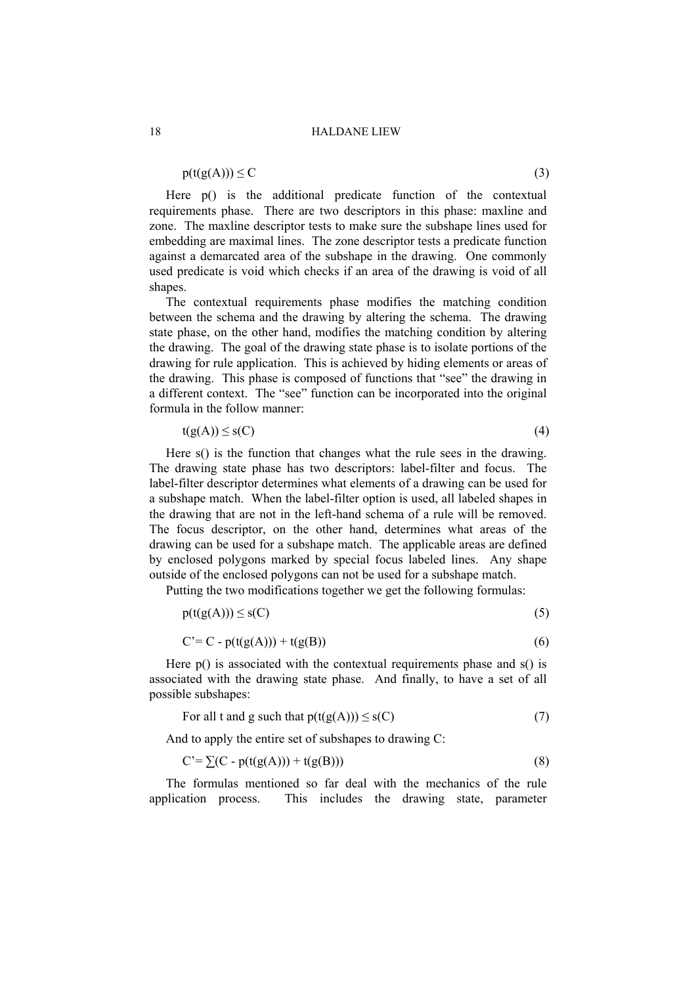# $p(t(g(A))) \le C$  (3)

Here p() is the additional predicate function of the contextual requirements phase. There are two descriptors in this phase: maxline and zon e. The maxline descriptor tests to make sure the subshape lines used for embedding are maximal lines. The zone descriptor tests a predicate function against a demarcated area of the subshape in the drawing. One commonly used predicate is void which checks if an area of the drawing is void of all shapes.

The contextual requirements phase modifies the matching condition between the schema and the drawing by altering the schema. The drawing state phase, on the other hand, modifies the matching condition by altering the drawing. The goal of the drawing state phase is to isolate portions of the drawing for rule application. This is achieved by hiding elements or areas of the drawing. This phase is composed of functions that "see" the drawing in a different context. The "see" function can be incorporated into the original formula in the follow manner:

$$
t(g(A)) \le s(C) \tag{4}
$$

Here  $s()$  is the function that changes what the rule sees in the drawing. The drawing state phase has two descriptors: label-filter and focus. The lab el-filter descriptor determines what elements of a drawing can be used for a subshape match. When the label-filter option is used, all labeled shapes in the drawing that are not in the left-hand schema of a rule will be removed. The focus descriptor, on the other hand, determines what areas of the drawing can be used for a subshape match. The applicable areas are defined by enclosed polygons marked by special focus labeled lines. Any shape outside of the enclosed polygons can not be used for a subshape match.

Putting the two modifications together we get the following formulas:

$$
p(t(g(A))) \leq s(C) \tag{5}
$$

$$
C' = C - p(t(g(A))) + t(g(B))
$$
\n
$$
(6)
$$

Here  $p()$  is associated with the contextual requirements phase and  $s()$  is associated with the drawing state phase. And finally, to have a set of all po ssible subshapes:

For all t and g such that 
$$
p(t(g(A))) \leq s(C)
$$
 (7)

And to apply the entire set of subshapes to drawing C:

$$
C' = \sum (C - p(t(g(A))) + t(g(B)))
$$
\n(8)

The formulas mentioned so far deal with the mechanics of the rule application process. This includes the drawing state, parameter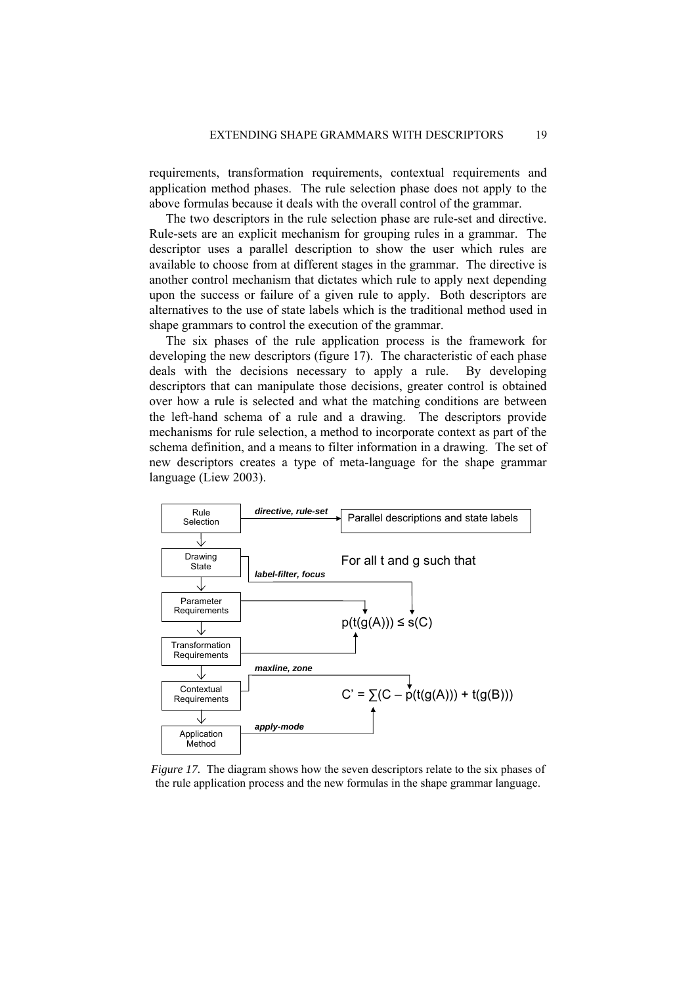req uirements, transformation requirements, contextual requirements and application method phases. The rule selection phase does not apply to the above formulas because it deals with the overall control of the grammar.

Rule-sets are an explicit mechanism for grouping rules in a grammar. The des criptor uses a parallel description to show the user which rules are The two descriptors in the rule selection phase are rule-set and directive. available to choose from at different stages in the grammar. The directive is another control mechanism that dictates which rule to apply next depending upon the success or failure of a given rule to apply. Both descriptors are alternatives to the use of state labels which is the traditional method used in shape grammars to control the execution of the grammar.

developing the new descriptors (figure 17). The characteristic of each phase dea ls with the decisions necessary to apply a rule. By developing The six phases of the rule application process is the framework for descriptors that can manipulate those decisions, greater control is obtained over how a rule is selected and what the matching conditions are between the left-hand schema of a rule and a drawing. The descriptors provide mechanisms for rule selection, a method to incorporate context as part of the schema definition, and a means to filter information in a drawing. The set of new descriptors creates a type of meta-language for the shape grammar language (Liew 2003).



Figure 17. The diagram shows how the seven descriptors relate to the six phases of the rule application process and the new formulas in the shape grammar language.